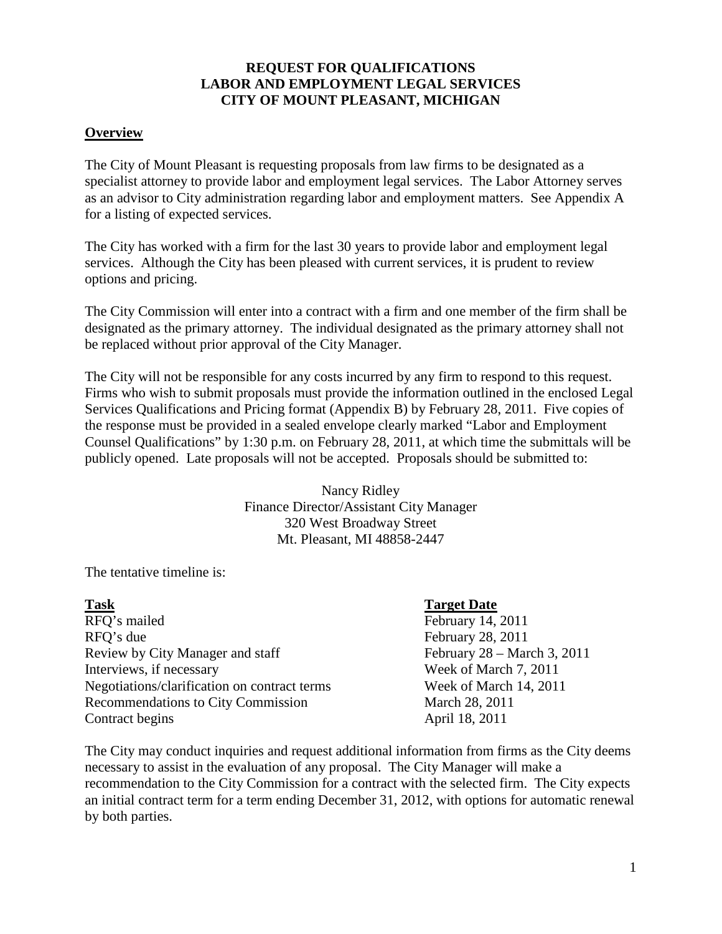### **REQUEST FOR QUALIFICATIONS LABOR AND EMPLOYMENT LEGAL SERVICES CITY OF MOUNT PLEASANT, MICHIGAN**

#### **Overview**

The City of Mount Pleasant is requesting proposals from law firms to be designated as a specialist attorney to provide labor and employment legal services. The Labor Attorney serves as an advisor to City administration regarding labor and employment matters. See Appendix A for a listing of expected services.

The City has worked with a firm for the last 30 years to provide labor and employment legal services. Although the City has been pleased with current services, it is prudent to review options and pricing.

The City Commission will enter into a contract with a firm and one member of the firm shall be designated as the primary attorney. The individual designated as the primary attorney shall not be replaced without prior approval of the City Manager.

The City will not be responsible for any costs incurred by any firm to respond to this request. Firms who wish to submit proposals must provide the information outlined in the enclosed Legal Services Qualifications and Pricing format (Appendix B) by February 28, 2011. Five copies of the response must be provided in a sealed envelope clearly marked "Labor and Employment Counsel Qualifications" by 1:30 p.m. on February 28, 2011, at which time the submittals will be publicly opened. Late proposals will not be accepted. Proposals should be submitted to:

> Nancy Ridley Finance Director/Assistant City Manager 320 West Broadway Street Mt. Pleasant, MI 48858-2447

The tentative timeline is:

| <b>Task</b>                                  | <b>Target Date</b>               |
|----------------------------------------------|----------------------------------|
| RFQ's mailed                                 | February 14, 2011                |
| RFO's due                                    | February 28, 2011                |
| Review by City Manager and staff             | February $28 - March 3$ , $2011$ |
| Interviews, if necessary                     | Week of March 7, 2011            |
| Negotiations/clarification on contract terms | Week of March 14, 2011           |
| <b>Recommendations to City Commission</b>    | March 28, 2011                   |
| Contract begins                              | April 18, 2011                   |

The City may conduct inquiries and request additional information from firms as the City deems necessary to assist in the evaluation of any proposal. The City Manager will make a recommendation to the City Commission for a contract with the selected firm. The City expects an initial contract term for a term ending December 31, 2012, with options for automatic renewal by both parties.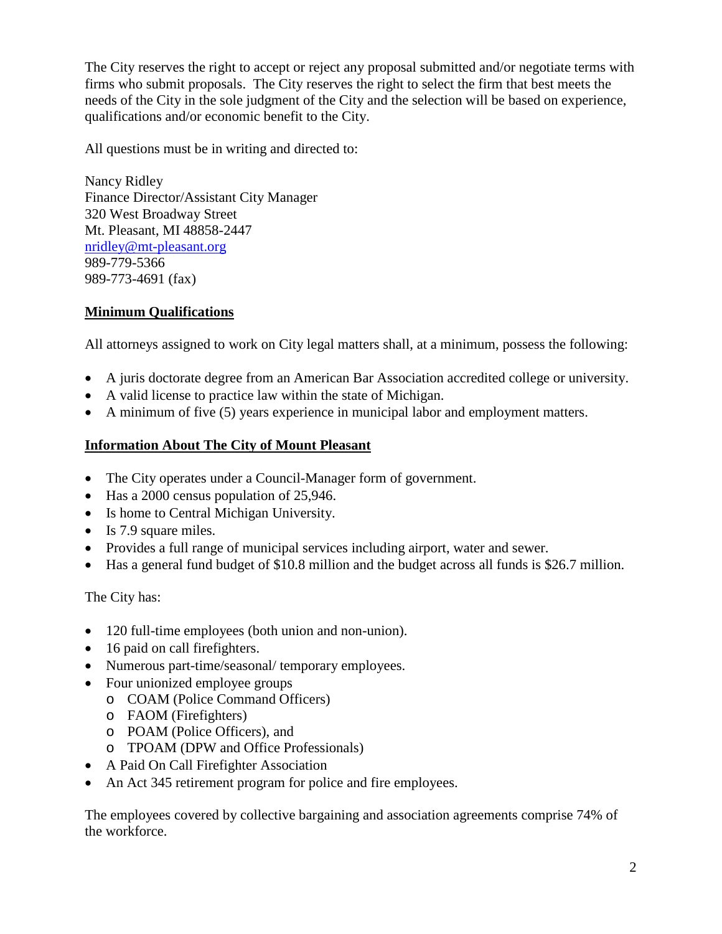The City reserves the right to accept or reject any proposal submitted and/or negotiate terms with firms who submit proposals. The City reserves the right to select the firm that best meets the needs of the City in the sole judgment of the City and the selection will be based on experience, qualifications and/or economic benefit to the City.

All questions must be in writing and directed to:

Nancy Ridley Finance Director/Assistant City Manager 320 West Broadway Street Mt. Pleasant, MI 48858-2447 [nridley@mt-pleasant.org](mailto:nridley@mt-pleasant.org) 989-779-5366 989-773-4691 (fax)

# **Minimum Qualifications**

All attorneys assigned to work on City legal matters shall, at a minimum, possess the following:

- A juris doctorate degree from an American Bar Association accredited college or university.
- A valid license to practice law within the state of Michigan.
- A minimum of five (5) years experience in municipal labor and employment matters.

# **Information About The City of Mount Pleasant**

- The City operates under a Council-Manager form of government.
- Has a 2000 census population of 25,946.
- Is home to Central Michigan University.
- Is 7.9 square miles.
- Provides a full range of municipal services including airport, water and sewer.
- Has a general fund budget of \$10.8 million and the budget across all funds is \$26.7 million.

The City has:

- 120 full-time employees (both union and non-union).
- 16 paid on call firefighters.
- Numerous part-time/seasonal/ temporary employees.
- Four unionized employee groups
	- o COAM (Police Command Officers)
	- o FAOM (Firefighters)
	- o POAM (Police Officers), and
	- o TPOAM (DPW and Office Professionals)
- A Paid On Call Firefighter Association
- An Act 345 retirement program for police and fire employees.

The employees covered by collective bargaining and association agreements comprise 74% of the workforce.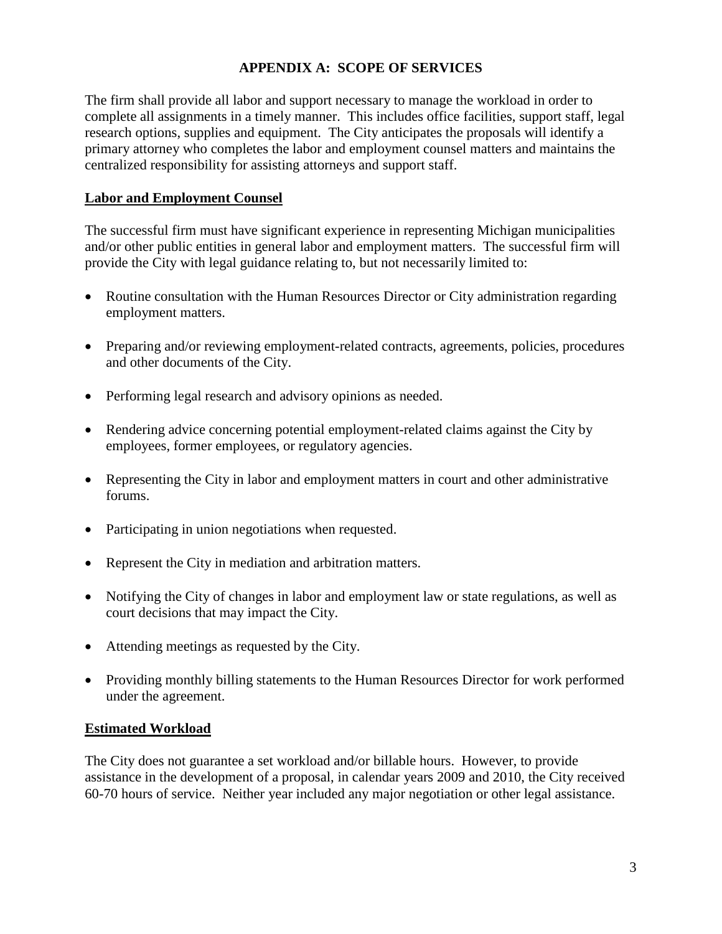## **APPENDIX A: SCOPE OF SERVICES**

The firm shall provide all labor and support necessary to manage the workload in order to complete all assignments in a timely manner. This includes office facilities, support staff, legal research options, supplies and equipment. The City anticipates the proposals will identify a primary attorney who completes the labor and employment counsel matters and maintains the centralized responsibility for assisting attorneys and support staff.

### **Labor and Employment Counsel**

The successful firm must have significant experience in representing Michigan municipalities and/or other public entities in general labor and employment matters. The successful firm will provide the City with legal guidance relating to, but not necessarily limited to:

- Routine consultation with the Human Resources Director or City administration regarding employment matters.
- Preparing and/or reviewing employment-related contracts, agreements, policies, procedures and other documents of the City.
- Performing legal research and advisory opinions as needed.
- Rendering advice concerning potential employment-related claims against the City by employees, former employees, or regulatory agencies.
- Representing the City in labor and employment matters in court and other administrative forums.
- Participating in union negotiations when requested.
- Represent the City in mediation and arbitration matters.
- Notifying the City of changes in labor and employment law or state regulations, as well as court decisions that may impact the City.
- Attending meetings as requested by the City.
- Providing monthly billing statements to the Human Resources Director for work performed under the agreement.

### **Estimated Workload**

The City does not guarantee a set workload and/or billable hours. However, to provide assistance in the development of a proposal, in calendar years 2009 and 2010, the City received 60-70 hours of service. Neither year included any major negotiation or other legal assistance.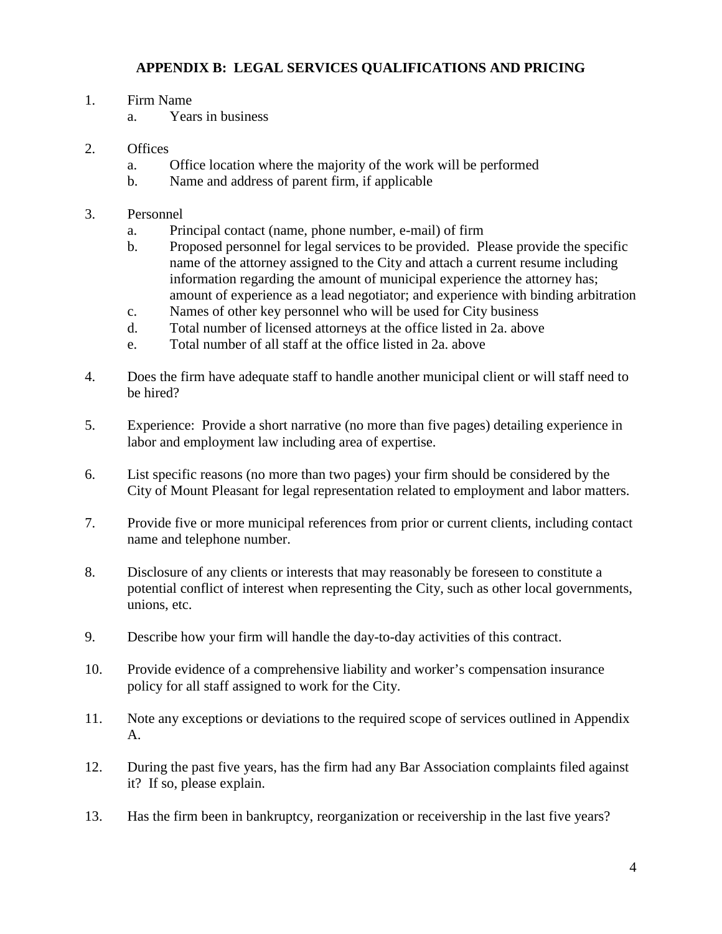# **APPENDIX B: LEGAL SERVICES QUALIFICATIONS AND PRICING**

- 1. Firm Name
	- a. Years in business
- 2. Offices
	- a. Office location where the majority of the work will be performed
	- b. Name and address of parent firm, if applicable
- 3. Personnel
	- a. Principal contact (name, phone number, e-mail) of firm
	- b. Proposed personnel for legal services to be provided. Please provide the specific name of the attorney assigned to the City and attach a current resume including information regarding the amount of municipal experience the attorney has; amount of experience as a lead negotiator; and experience with binding arbitration
	- c. Names of other key personnel who will be used for City business
	- d. Total number of licensed attorneys at the office listed in 2a. above
	- e. Total number of all staff at the office listed in 2a. above
- 4. Does the firm have adequate staff to handle another municipal client or will staff need to be hired?
- 5. Experience: Provide a short narrative (no more than five pages) detailing experience in labor and employment law including area of expertise.
- 6. List specific reasons (no more than two pages) your firm should be considered by the City of Mount Pleasant for legal representation related to employment and labor matters.
- 7. Provide five or more municipal references from prior or current clients, including contact name and telephone number.
- 8. Disclosure of any clients or interests that may reasonably be foreseen to constitute a potential conflict of interest when representing the City, such as other local governments, unions, etc.
- 9. Describe how your firm will handle the day-to-day activities of this contract.
- 10. Provide evidence of a comprehensive liability and worker's compensation insurance policy for all staff assigned to work for the City.
- 11. Note any exceptions or deviations to the required scope of services outlined in Appendix A.
- 12. During the past five years, has the firm had any Bar Association complaints filed against it? If so, please explain.
- 13. Has the firm been in bankruptcy, reorganization or receivership in the last five years?